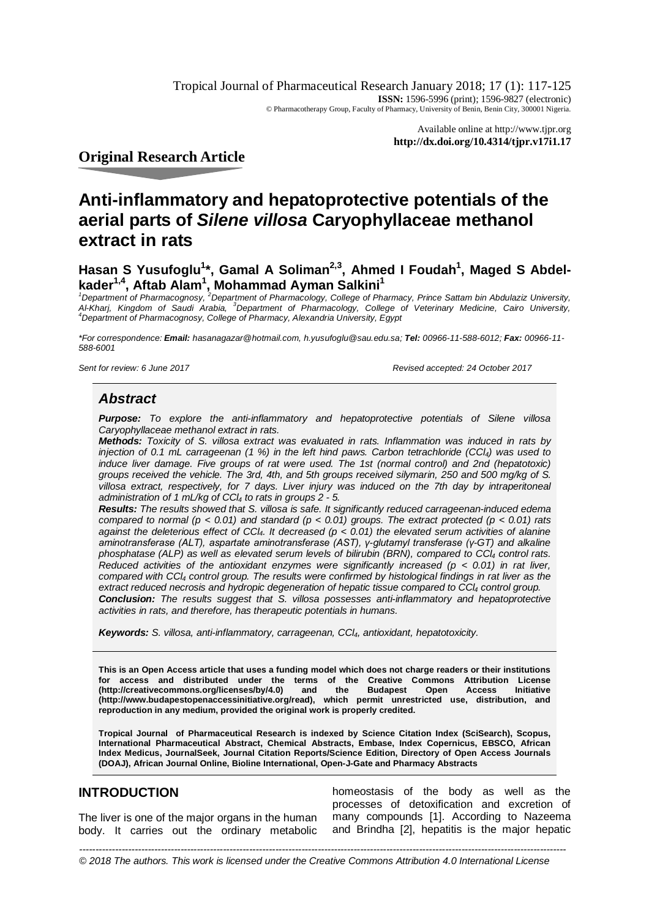Tropical Journal of Pharmaceutical Research January 2018; 17 (1): 117-125 **ISSN:** 1596-5996 (print); 1596-9827 (electronic) © Pharmacotherapy Group, Faculty of Pharmacy, University of Benin, Benin City, 300001 Nigeria.

> Available online at <http://www.tjpr.org> **<http://dx.doi.org/10.4314/tjpr.v17i1.17>**

**Original Research Article**

# **Anti-inflammatory and hepatoprotective potentials of the aerial parts of** *Silene villosa* **Caryophyllaceae methanol extract in rats**

## **Hasan S Yusufoglu<sup>1</sup> \*, Gamal A Soliman2,3, Ahmed I Foudah<sup>1</sup> , Maged S Abdelkader1,4, Aftab Alam<sup>1</sup> , Mohammad Ayman Salkini<sup>1</sup>**

*<sup>1</sup>Department of Pharmacognosy, <sup>2</sup>Department of Pharmacology, College of Pharmacy, Prince Sattam bin Abdulaziz University, Al-Kharj, Kingdom of Saudi Arabia, <sup>3</sup>Department of Pharmacology, College of Veterinary Medicine, Cairo University, <sup>4</sup>Department of Pharmacognosy, College of Pharmacy, Alexandria University, Egypt*

*\*For correspondence: Email: hasanagazar@hotmail.com, [h.yusufoglu@sau.edu.sa;](mailto:h.yusufoglu@sau.edu.sa;) Tel: 00966-11-588-6012; Fax: 00966-11- 588-6001*

*Sent for review: 6 June 2017 Revised accepted: 24 October 2017*

### *Abstract*

*Purpose: To explore the anti-inflammatory and hepatoprotective potentials of Silene villosa Caryophyllaceae methanol extract in rats.* 

*Methods: Toxicity of S. villosa extract was evaluated in rats. Inflammation was induced in rats by injection of 0.1 mL carrageenan (1 %) in the left hind paws. Carbon tetrachloride (CCl4) was used to induce liver damage. Five groups of rat were used. The 1st (normal control) and 2nd (hepatotoxic) groups received the vehicle. The 3rd, 4th, and 5th groups received silymarin, 250 and 500 mg/kg of S. villosa extract, respectively, for 7 days. Liver injury was induced on the 7th day by intraperitoneal administration of 1 mL/kg of CCl<sup>4</sup> to rats in groups 2 - 5.*

*Results: The results showed that S. villosa is safe. It significantly reduced carrageenan-induced edema compared to normal (p < 0.01) and standard (p < 0.01) groups. The extract protected (p < 0.01) rats against the deleterious effect of CCl4. It decreased (p < 0.01) the elevated serum activities of alanine aminotransferase (ALT), aspartate aminotransferase (AST), γ-glutamyl transferase (γ-GT) and alkaline phosphatase (ALP) as well as elevated serum levels of bilirubin (BRN), compared to CCl<sup>4</sup> control rats. Reduced activities of the antioxidant enzymes were significantly increased (p < 0.01) in rat liver, compared with CCl<sup>4</sup> control group. The results were confirmed by histological findings in rat liver as the extract reduced necrosis and hydropic degeneration of hepatic tissue compared to CCl<sup>4</sup> control group. Conclusion: The results suggest that S. villosa possesses anti-inflammatory and hepatoprotective activities in rats, and therefore, has therapeutic potentials in humans.*

*Keywords: S. villosa, anti-inflammatory, carrageenan, CCl4, antioxidant, hepatotoxicity.*

**This is an Open Access article that uses a funding model which does not charge readers or their institutions for access and distributed under the terms of the Creative Commons Attribution License [\(http://creativecommons.org/licenses/by/4.0\)](http://creativecommons.org/licenses/by/4.0)) and the Budapest Open Access Initiative [\(http://www.budapestopenaccessinitiative.org/read\),](http://www.budapestopenaccessinitiative.org/read),) which permit unrestricted use, distribution, and reproduction in any medium, provided the original work is properly credited.**

**Tropical Journal of Pharmaceutical Research is indexed by Science Citation Index (SciSearch), Scopus, International Pharmaceutical Abstract, Chemical Abstracts, Embase, Index Copernicus, EBSCO, African Index Medicus, JournalSeek, Journal Citation Reports/Science Edition, Directory of Open Access Journals (DOAJ), African Journal Online, Bioline International, Open-J-Gate and Pharmacy Abstracts**

### **INTRODUCTION**

The liver is one of the major organs in the human body. It carries out the ordinary metabolic homeostasis of the body as well as the processes of detoxification and excretion of many compounds [1]. According to Nazeema and Brindha [2], hepatitis is the major hepatic

© 2018 The authors. This work is licensed under the Creative Commons Attribution 4.0 International License *-----------------------------------------------------------------------------------------------------------------------------------------------------*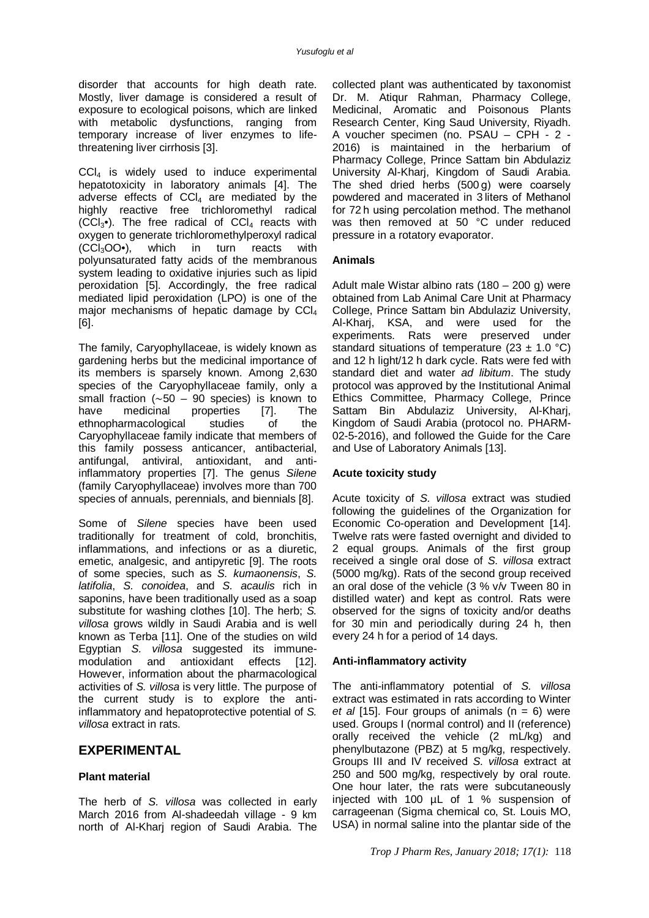disorder that accounts for high death rate. Mostly, liver damage is considered a result of exposure to ecological poisons, which are linked with metabolic dysfunctions, ranging from temporary increase of liver enzymes to lifethreatening liver cirrhosis [3].

CCl<sup>4</sup> is widely used to induce experimental hepatotoxicity in laboratory animals [4]. The adverse effects of  $CCL$  are mediated by the highly reactive free trichloromethyl radical  $(CCl<sub>3</sub>•)$ . The free radical of  $Cl<sub>4</sub>$  reacts with oxygen to generate trichloromethylperoxyl radical  $(CCl<sub>3</sub>OO<sup>\bullet</sup>)$ , which in turn reacts with (CCl3OO•), which in turn reacts with polyunsaturated fatty acids of the membranous system leading to oxidative injuries such as lipid peroxidation [5]. Accordingly, the free radical mediated lipid peroxidation (LPO) is one of the major mechanisms of hepatic damage by CCl<sub>4</sub> [6].

The family, Caryophyllaceae, is widely known as gardening herbs but the medicinal importance of its members is sparsely known. Among 2,630 species of the Caryophyllaceae family, only a small fraction (∼50 – 90 species) is known to<br>have medicinal properties [7]. The properties [7]. The<br>studies of the ethnopharmacological studies of Caryophyllaceae family indicate that members of this family possess anticancer, antibacterial, antifungal, antiviral, antioxidant, and antiinflammatory properties [7]. The genus *Silene*  (family Caryophyllaceae) involves more than 700 species of annuals, perennials, and biennials [8].

Some of *Silene* species have been used traditionally for treatment of cold, bronchitis, inflammations, and infections or as a diuretic, emetic, analgesic, and antipyretic [9]. The roots of some species, such as *S. kumaonensis*, *S. latifolia*, *S. conoidea*, and *S. acaulis* rich in saponins, have been traditionally used as a soap substitute for washing clothes [10]. The herb; *S. villosa* grows wildly in Saudi Arabia and is well known as Terba [11]. One of the studies on wild Egyptian *S. villosa* suggested its immunemodulation and antioxidant effects [12]. However, information about the pharmacological activities of *S. villosa* is very little. The purpose of the current study is to explore the antiinflammatory and hepatoprotective potential of *S. villosa* extract in rats.

### **EXPERIMENTAL**

#### **Plant material**

The herb of *S. villosa* was collected in early March 2016 from Al-shadeedah village - 9 km north of Al-Kharj region of Saudi Arabia. The

collected plant was authenticated by taxonomist Dr. M. Atiqur Rahman, Pharmacy College, Medicinal, Aromatic and Poisonous Plants Research Center, King Saud University, Riyadh. A voucher specimen (no. PSAU – CPH - 2 - 2016) is maintained in the herbarium of Pharmacy College, Prince Sattam bin Abdulaziz University Al-Kharj, Kingdom of Saudi Arabia. The shed dried herbs (500 g) were coarsely powdered and macerated in 3 liters of Methanol for 72 h using percolation method. The methanol was then removed at 50 °C under reduced pressure in a rotatory evaporator.

#### **Animals**

Adult male Wistar albino rats (180 – 200 g) were obtained from Lab Animal Care Unit at Pharmacy College, Prince Sattam bin Abdulaziz University, Al-Kharj, KSA, and were used for the experiments. Rats were preserved under standard situations of temperature (23  $\pm$  1.0 °C) and 12 h light/12 h dark cycle. Rats were fed with standard diet and water *ad libitum*. The study protocol was approved by the Institutional Animal Ethics Committee, Pharmacy College, Prince Sattam Bin Abdulaziz University, Al-Kharj, Kingdom of Saudi Arabia (protocol no. PHARM-02-5-2016), and followed the Guide for the Care and Use of Laboratory Animals [13].

#### **Acute toxicity study**

Acute toxicity of *S. villosa* extract was studied following the guidelines of the Organization for Economic Co-operation and Development [14]. Twelve rats were fasted overnight and divided to 2 equal groups. Animals of the first group received a single oral dose of *S. villosa* extract (5000 mg/kg). Rats of the second group received an oral dose of the vehicle (3 % v/v Tween 80 in distilled water) and kept as control. Rats were observed for the signs of toxicity and/or deaths for 30 min and periodically during 24 h, then every 24 h for a period of 14 days.

#### **Anti-inflammatory activity**

The anti-inflammatory potential of *S. villosa* extract was estimated in rats according to Winter *et al* [15]. Four groups of animals  $(n = 6)$  were used. Groups I (normal control) and II (reference) orally received the vehicle (2 mL/kg) and phenylbutazone (PBZ) at 5 mg/kg, respectively. Groups III and IV received *S. villosa* extract at 250 and 500 mg/kg, respectively by oral route. One hour later, the rats were subcutaneously injected with 100 µL of 1 % suspension of carrageenan (Sigma chemical co, St. Louis MO, USA) in normal saline into the plantar side of the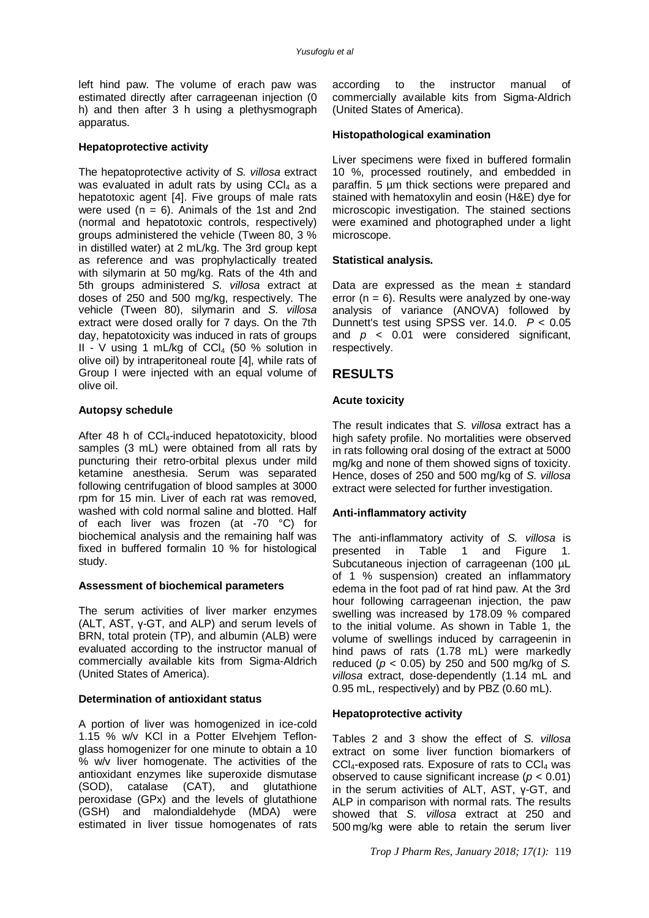left hind paw. The volume of erach paw was estimated directly after carrageenan injection (0 h) and then after 3 h using a plethysmograph apparatus.

#### **Hepatoprotective activity**

The hepatoprotective activity of *S. villosa* extract was evaluated in adult rats by using  $CCI<sub>4</sub>$  as a hepatotoxic agent [4]. Five groups of male rats were used ( $n = 6$ ). Animals of the 1st and 2nd (normal and hepatotoxic controls, respectively) groups administered the vehicle (Tween 80, 3 % in distilled water) at 2 mL/kg. The 3rd group kept as reference and was prophylactically treated with silymarin at 50 mg/kg. Rats of the 4th and 5th groups administered *S. villosa* extract at doses of 250 and 500 mg/kg, respectively. The vehicle (Tween 80), silymarin and *S. villosa*  extract were dosed orally for 7 days. On the 7th day, hepatotoxicity was induced in rats of groups  $II - V$  using 1 mL/kg of CCl<sub>4</sub> (50 % solution in olive oil) by intraperitoneal route [4], while rats of Group I were injected with an equal volume of olive oil.

#### **Autopsy schedule**

After 48 h of  $CCI<sub>4</sub>-induced$  hepatotoxicity, blood samples (3 mL) were obtained from all rats by puncturing their retro-orbital plexus under mild ketamine anesthesia. Serum was separated following centrifugation of blood samples at 3000 rpm for 15 min. Liver of each rat was removed, washed with cold normal saline and blotted. Half of each liver was frozen (at -70 °C) for biochemical analysis and the remaining half was fixed in buffered formalin 10 % for histological study.

#### **Assessment of biochemical parameters**

The serum activities of liver marker enzymes (ALT, AST, γ-GT, and ALP) and serum levels of BRN, total protein (TP), and albumin (ALB) were evaluated according to the instructor manual of commercially available kits from Sigma-Aldrich (United States of America).

### **Determination of antioxidant status**

A portion of liver was homogenized in ice-cold 1.15 % w/v KCl in a Potter Elvehjem Teflonglass homogenizer for one minute to obtain a 10 % w/v liver homogenate. The activities of the antioxidant enzymes like superoxide dismutase (SOD), catalase (CAT), and glutathione peroxidase (GPx) and the levels of glutathione (GSH) and malondialdehyde (MDA) were estimated in liver tissue homogenates of rats

according to the instructor manual of commercially available kits from Sigma-Aldrich (United States of America).

#### **Histopathological examination**

Liver specimens were fixed in buffered formalin 10 %, processed routinely, and embedded in paraffin. 5 µm thick sections were prepared and stained with hematoxylin and eosin (H&E) dye for microscopic investigation. The stained sections were examined and photographed under a light microscope.

#### **Statistical analysis.**

Data are expressed as the mean  $\pm$  standard error  $(n = 6)$ . Results were analyzed by one-way analysis of variance (ANOVA) followed by Dunnett's test using SPSS ver. 14.0. *P* < 0.05 and *p* < 0.01 were considered significant, respectively.

## **RESULTS**

#### **Acute toxicity**

The result indicates that *S. villosa* extract has a high safety profile. No mortalities were observed in rats following oral dosing of the extract at 5000 mg/kg and none of them showed signs of toxicity. Hence, doses of 250 and 500 mg/kg of *S. villosa*  extract were selected for further investigation.

#### **Anti-inflammatory activity**

The anti-inflammatory activity of *S. villosa* is presented in Table 1 and Figure 1. Subcutaneous injection of carrageenan (100 µL of 1 % suspension) created an inflammatory edema in the foot pad of rat hind paw. At the 3rd hour following carrageenan injection, the paw swelling was increased by 178.09 % compared to the initial volume. As shown in Table 1, the volume of swellings induced by carrageenin in hind paws of rats (1.78 mL) were markedly reduced (*p* < 0.05) by 250 and 500 mg/kg of *S. villosa* extract, dose-dependently (1.14 mL and 0.95 mL, respectively) and by PBZ (0.60 mL).

#### **Hepatoprotective activity**

Tables 2 and 3 show the effect of *S. villosa*  extract on some liver function biomarkers of  $CCl<sub>4</sub>$ -exposed rats. Exposure of rats to  $CCl<sub>4</sub>$  was observed to cause significant increase (*p* < 0.01) in the serum activities of ALT, AST, γ-GT, and ALP in comparison with normal rats. The results showed that *S. villosa* extract at 250 and 500 mg/kg were able to retain the serum liver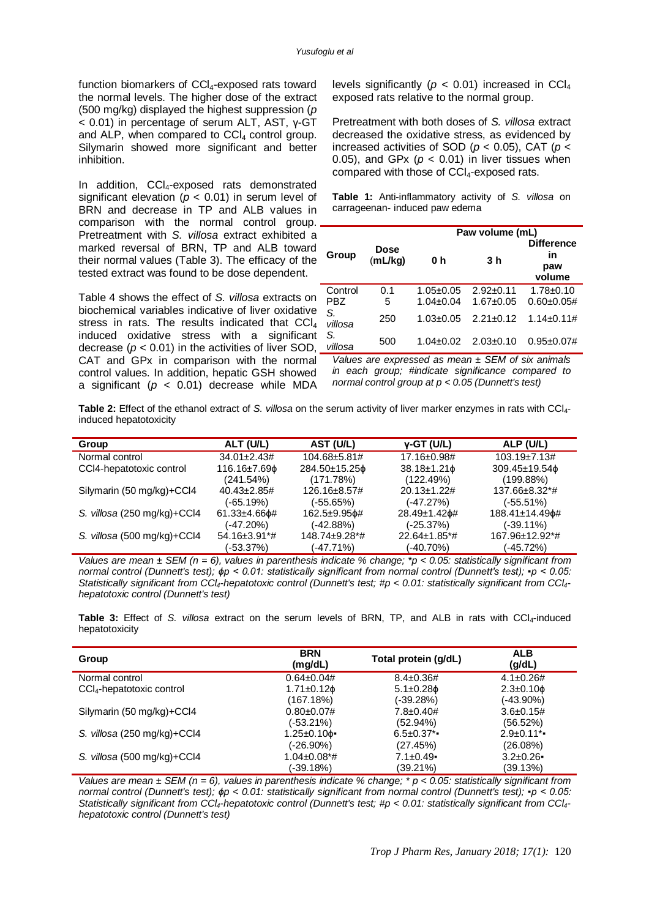function biomarkers of CCl<sub>4</sub>-exposed rats toward the normal levels. The higher dose of the extract (500 mg/kg) displayed the highest suppression (*p*  < 0.01) in percentage of serum ALT, AST, γ-GT and ALP, when compared to  $CCl<sub>4</sub>$  control group. Silymarin showed more significant and better inhibition.

In addition, CCI<sub>4</sub>-exposed rats demonstrated significant elevation ( $p < 0.01$ ) in serum level of BRN and decrease in TP and ALB values in comparison with the normal control group. Pretreatment with *S. villosa* extract exhibited a marked reversal of BRN, TP and ALB toward their normal values (Table 3). The efficacy of the tested extract was found to be dose dependent.

Table 4 shows the effect of *S. villosa* extracts on biochemical variables indicative of liver oxidative stress in rats. The results indicated that CCl<sub>4</sub> induced oxidative stress with a significant decrease  $(p < 0.01)$  in the activities of liver SOD, CAT and GPx in comparison with the normal control values. In addition, hepatic GSH showed a significant (*p* < 0.01) decrease while MDA

levels significantly ( $p < 0.01$ ) increased in CCl<sub>4</sub> exposed rats relative to the normal group.

Pretreatment with both doses of *S. villosa* extract decreased the oxidative stress, as evidenced by increased activities of SOD (*p* < 0.05), CAT (*p* < 0.05), and GPx  $(p < 0.01)$  in liver tissues when compared with those of CCl4-exposed rats.

**Table 1:** Anti-inflammatory activity of *S. villosa* on carrageenan- induced paw edema

|               |                        | Paw volume (mL) |                 |                                          |  |
|---------------|------------------------|-----------------|-----------------|------------------------------------------|--|
| Group         | <b>Dose</b><br>(mL/kg) | 0 h             | 3 h             | <b>Difference</b><br>in<br>paw<br>volume |  |
| Control       | 0.1                    | $1.05 + 0.05$   | $2.92+0.11$     | $1.78 + 0.10$                            |  |
| <b>PBZ</b>    | 5                      | $1.04 \pm 0.04$ | $1.67 + 0.05$   | $0.60 \pm 0.05#$                         |  |
| S.<br>villosa | 250                    | $1.03 \pm 0.05$ | $2.21 \pm 0.12$ | $1.14 \pm 0.11 \#$                       |  |
| S.<br>villosa | 500                    | $1.04 \pm 0.02$ | $2.03 \pm 0.10$ | $0.95 \pm 0.07 \#$                       |  |

*Values are expressed as mean ± SEM of six animals in each group; #indicate significance compared to normal control group at p < 0.05 (Dunnett's test)*

**Table 2:** Effect of the ethanol extract of *S. villosa* on the serum activity of liver marker enzymes in rats with CCl4 induced hepatotoxicity

| Group                       | ALT (U/L)           | AST (U/L)     | $v$ -GT (U/L)           | ALP (U/L)            |
|-----------------------------|---------------------|---------------|-------------------------|----------------------|
| Normal control              | $34.01 \pm 2.43 \#$ | 104.68±5.81#  | 17.16±0.98#             | $103.19 \pm 7.13 \#$ |
| CCI4-hepatotoxic control    | 116.16±7.69¢        | 284.50±15.25¢ | $38.18 \pm 1.21$ $\phi$ | 309.45±19.54¢        |
|                             | (241.54%)           | (171.78%)     | (122.49%)               | $(199.88\%)$         |
| Silymarin (50 mg/kg)+CCl4   | $40.43 \pm 2.85 \#$ | 126.16±8.57#  | $20.13 \pm 1.22 \#$     | 137.66±8.32*#        |
|                             | $(-65.19%)$         | $(-55.65%)$   | $(-47.27%)$             | $(-55.51\%)$         |
| S. villosa (250 mg/kg)+CCl4 | $61.33 + 4.66$ $#$  | 162.5±9.95¢#  | 28.49±1.42¢#            | 188.41±14.49¢#       |
|                             | $(-47.20%)$         | $(-42.88%)$   | (-25.37%)               | $(-39.11\%)$         |
| S. villosa (500 mg/kg)+CCl4 | 54.16±3.91*#        | 148.74±9.28*# | 22.64±1.85*#            | 167.96±12.92*#       |
|                             | $(-53.37%)$         | $(-47.71\%)$  | (-40.70%)               | (-45.72%)            |

*Values are mean ± SEM (n = 6), values in parenthesis indicate % change; \*p < 0.05: statistically significant from normal control (Dunnett's test); ϕp < 0.01: statistically significant from normal control (Dunnett's test); ▪p < 0.05: Statistically significant from CCl4-hepatotoxic control (Dunnett's test; #p < 0.01: statistically significant from CCl4 hepatotoxic control (Dunnett's test)*

**Table 3:** Effect of *S. villosa* extract on the serum levels of BRN, TP, and ALB in rats with CCl<sub>4</sub>-induced hepatotoxicity

| Group                                 | <b>BRN</b><br>(mg/dL)  | Total protein (q/dL)  | <b>ALB</b><br>(g/dL)  |
|---------------------------------------|------------------------|-----------------------|-----------------------|
| Normal control                        | $0.64 \pm 0.04 \#$     | $8.4 \pm 0.36 \#$     | $4.1 \pm 0.26#$       |
| CCI <sub>4</sub> -hepatotoxic control | $1.71 \pm 0.12$ $\phi$ | $5.1 \pm 0.28$ $\phi$ | $2.3 \pm 0.10$ $\phi$ |
|                                       | (167.18%)              | (-39.28%)             | $(-43.90\%)$          |
| Silymarin (50 mg/kg)+CCl4             | $0.80 \pm 0.07$ #      | $7.8 \pm 0.40 \#$     | $3.6 \pm 0.15 \#$     |
|                                       | $(-53.21\%)$           | $(52.94\%)$           | $(56.52\%)$           |
| S. villosa (250 mg/kg)+CCl4           | 1.25±0.10¢∙            | $6.5 \pm 0.37$ *      | $2.9 \pm 0.11$ *      |
|                                       | (-26.90%)              | (27.45%)              | (26.08%)              |
| S. villosa (500 mg/kg)+CCl4           | 1.04±0.08*#            | $7.1 \pm 0.49$        | $3.2 \pm 0.26$        |
|                                       | (-39.18%)              | (39.21%)              | (39.13%)              |

*Values are mean ± SEM (n = 6), values in parenthesis indicate % change; \* p < 0.05: statistically significant from normal control (Dunnett's test); ϕp < 0.01: statistically significant from normal control (Dunnett's test); ▪p < 0.05: Statistically significant from CCl4-hepatotoxic control (Dunnett's test; #p < 0.01: statistically significant from CCl4 hepatotoxic control (Dunnett's test)*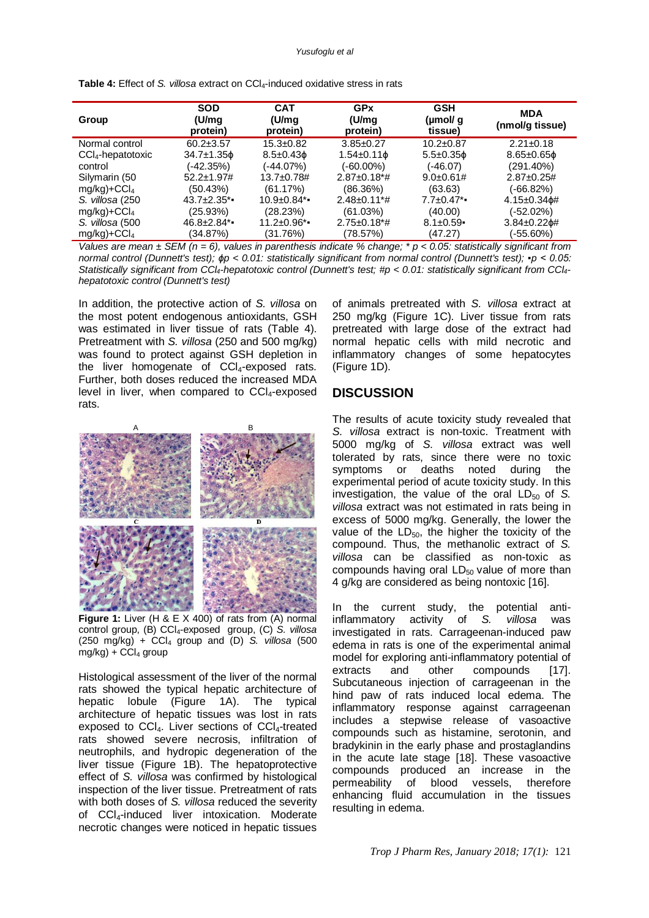#### *Yusufoglu et al*

| Group                         | <b>SOD</b><br>(U/mq<br>protein) | <b>CAT</b><br>(U/mq<br>protein) | GPx<br>(U/mq<br>protein)       | <b>GSH</b><br>(µmol/ q<br>tissue) | <b>MDA</b><br>(nmol/g tissue) |
|-------------------------------|---------------------------------|---------------------------------|--------------------------------|-----------------------------------|-------------------------------|
| Normal control                | $60.2 \pm 3.57$                 | $15.3 + 0.82$                   | $3.85 \pm 0.27$                | $10.2 + 0.87$                     | $2.21 \pm 0.18$               |
| CCI <sub>4</sub> -hepatotoxic | $34.7 \pm 1.35$ $\phi$          | $8.5 \pm 0.43$ $\phi$           | $1.54 \pm 0.11$ $\phi$         | $5.5 \pm 0.35$ $\phi$             | $8.65 \pm 0.65$ $\phi$        |
| control                       | (-42.35%)                       | (-44.07%)                       | (-60.00%)                      | (-46.07)                          | $(291.40\%)$                  |
| Silymarin (50                 | $52.2 \pm 1.97 \#$              | 13.7±0.78#                      | $2.87 \pm 0.18$ <sup>*</sup> # | $9.0\pm 0.61#$                    | $2.87 + 0.25#$                |
| $mq/kg$ +CCl <sub>4</sub>     | (50.43%)                        | (61.17%)                        | (86.36%)                       | (63.63)                           | $(-66.82%)$                   |
| S. villosa (250)              | $43.7 \pm 2.35$ *               | $10.9 \pm 0.84$ *               | $2.48 \pm 0.11$ <sup>*</sup> # | $7.7 \pm 0.47$ *                  | 4.15±0.34¢#                   |
| $mg/kg$ )+CCl <sub>4</sub>    | (25.93%)                        | (28.23%)                        | (61.03%)                       | (40.00)                           | (-52.02%)                     |
| S. villosa (500               | $46.8 \pm 2.84$ *               | $11.2 \pm 0.96$ *               | $2.75 \pm 0.18$ <sup>*</sup> # | $8.1 \pm 0.59$                    | $3.84 \pm 0.22$ $\phi$ #      |
| $mq/kg$ +CCl <sub>4</sub>     | (34.87%)                        | (31.76%)                        | (78.57%)                       | (47.27)                           | (-55.60%)                     |

**Table 4:** Effect of *S. villosa* extract on CCl4-induced oxidative stress in rats

*Values are mean ± SEM (n = 6), values in parenthesis indicate % change; \* p < 0.05: statistically significant from normal control (Dunnett's test); ϕp < 0.01: statistically significant from normal control (Dunnett's test); ▪p < 0.05: Statistically significant from CCl4-hepatotoxic control (Dunnett's test; #p < 0.01: statistically significant from CCl4 hepatotoxic control (Dunnett's test)*

In addition, the protective action of *S. villosa* on the most potent endogenous antioxidants, GSH was estimated in liver tissue of rats (Table 4). Pretreatment with *S. villosa* (250 and 500 mg/kg) was found to protect against GSH depletion in the liver homogenate of CCl<sub>4</sub>-exposed rats. Further, both doses reduced the increased MDA level in liver, when compared to  $CCl<sub>4</sub>$ -exposed rats.



**Figure 1:** Liver (H & E X 400) of rats from (A) normal control group, (B) CCl4-exposed group, (C) *S. villosa*  $(250 \text{ mg/kg}) + \text{CCl}_4$  group and (D) *S. villosa* (500  $mg/kg$ ) + CCl<sub>4</sub> group

Histological assessment of the liver of the normal rats showed the typical hepatic architecture of hepatic lobule (Figure 1A). The typical architecture of hepatic tissues was lost in rats exposed to CCI4. Liver sections of CCI4-treated rats showed severe necrosis, infiltration of neutrophils, and hydropic degeneration of the liver tissue (Figure 1B). The hepatoprotective effect of *S. villosa* was confirmed by histological inspection of the liver tissue. Pretreatment of rats with both doses of *S. villosa* reduced the severity of CCl4-induced liver intoxication. Moderate necrotic changes were noticed in hepatic tissues

of animals pretreated with *S. villosa* extract at 250 mg/kg (Figure 1C). Liver tissue from rats pretreated with large dose of the extract had normal hepatic cells with mild necrotic and inflammatory changes of some hepatocytes (Figure 1D).

#### **DISCUSSION**

The results of acute toxicity study revealed that *S. villosa* extract is non-toxic. Treatment with 5000 mg/kg of *S. villosa* extract was well tolerated by rats, since there were no toxic symptoms or deaths noted during the experimental period of acute toxicity study. In this investigation, the value of the oral  $LD_{50}$  of *S. villosa* extract was not estimated in rats being in excess of 5000 mg/kg. Generally, the lower the value of the  $LD_{50}$ , the higher the toxicity of the compound. Thus, the methanolic extract of *S. villosa* can be classified as non-toxic as compounds having oral  $LD_{50}$  value of more than 4 g/kg are considered as being nontoxic [16].

In the current study, the potential antiinflammatory activity of *S. villosa* was investigated in rats. Carrageenan-induced paw edema in rats is one of the experimental animal model for exploring anti-inflammatory potential of extracts and other compounds [17]. Subcutaneous injection of carrageenan in the hind paw of rats induced local edema. The inflammatory response against carrageenan includes a stepwise release of vasoactive compounds such as histamine, serotonin, and bradykinin in the early phase and prostaglandins in the acute late stage [18]. These vasoactive compounds produced an increase in the permeability of blood vessels, therefore enhancing fluid accumulation in the tissues resulting in edema.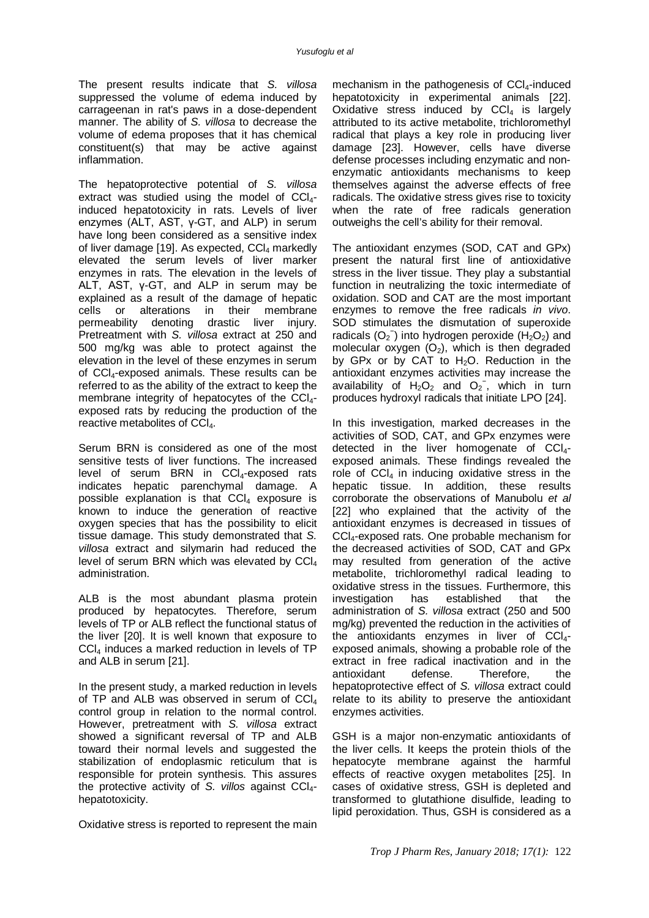The present results indicate that *S. villosa*  suppressed the volume of edema induced by carrageenan in rat's paws in a dose-dependent manner. The ability of *S. villosa* to decrease the volume of edema proposes that it has chemical constituent(s) that may be active against inflammation.

The hepatoprotective potential of *S. villosa*  extract was studied using the model of  $CCI<sub>4</sub>$ induced hepatotoxicity in rats. Levels of liver enzymes (ALT, AST, γ-GT, and ALP) in serum have long been considered as a sensitive index of liver damage [19]. As expected,  $CCI<sub>4</sub>$  markedly elevated the serum levels of liver marker enzymes in rats. The elevation in the levels of ALT, AST, γ-GT, and ALP in serum may be explained as a result of the damage of hepatic cells or alterations in their membrane permeability denoting drastic liver injury. Pretreatment with *S. villosa* extract at 250 and 500 mg/kg was able to protect against the elevation in the level of these enzymes in serum of CCl4-exposed animals. These results can be referred to as the ability of the extract to keep the membrane integrity of hepatocytes of the CCI<sub>4</sub>exposed rats by reducing the production of the reactive metabolites of CCl<sub>4</sub>.

Serum BRN is considered as one of the most sensitive tests of liver functions. The increased level of serum BRN in  $CCl<sub>4</sub>$ -exposed rats indicates hepatic parenchymal damage. A possible explanation is that  $CCl<sub>4</sub>$  exposure is known to induce the generation of reactive oxygen species that has the possibility to elicit tissue damage. This study demonstrated that *S. villosa* extract and silymarin had reduced the level of serum BRN which was elevated by CCl<sub>4</sub> administration.

ALB is the most abundant plasma protein produced by hepatocytes. Therefore, serum levels of TP or ALB reflect the functional status of the liver [20]. It is well known that exposure to CCl<sup>4</sup> induces a marked reduction in levels of TP and ALB in serum [21].

In the present study, a marked reduction in levels of TP and ALB was observed in serum of  $CCI<sub>4</sub>$ control group in relation to the normal control. However, pretreatment with *S. villosa* extract showed a significant reversal of TP and ALB toward their normal levels and suggested the stabilization of endoplasmic reticulum that is responsible for protein synthesis. This assures the protective activity of *S. villos* against CCl4 hepatotoxicity.

Oxidative stress is reported to represent the main

mechanism in the pathogenesis of  $CCI<sub>4</sub>$ -induced hepatotoxicity in experimental animals [22]. Oxidative stress induced by  $CCl<sub>4</sub>$  is largely attributed to its active metabolite, trichloromethyl radical that plays a key role in producing liver damage [23]. However, cells have diverse defense processes including enzymatic and nonenzymatic antioxidants mechanisms to keep themselves against the adverse effects of free radicals. The oxidative stress gives rise to toxicity when the rate of free radicals generation outweighs the cell's ability for their removal.

The antioxidant enzymes (SOD, CAT and GPx) present the natural first line of antioxidative stress in the liver tissue. They play a substantial function in neutralizing the toxic intermediate of oxidation. SOD and CAT are the most important enzymes to remove the free radicals *in vivo*. SOD stimulates the dismutation of superoxide radicals  $(O_2^-)$  into hydrogen peroxide ( $H_2O_2$ ) and molecular oxygen  $(O_2)$ , which is then degraded by GPx or by CAT to  $H<sub>2</sub>O$ . Reduction in the antioxidant enzymes activities may increase the availability of  $H_2O_2$  and  $O_2$ , which in turn produces hydroxyl radicals that initiate LPO [24].

In this investigation, marked decreases in the activities of SOD, CAT, and GPx enzymes were detected in the liver homogenate of  $CCI<sub>4</sub>$ exposed animals. These findings revealed the role of  $\text{CCI}_4$  in inducing oxidative stress in the hepatic tissue. In addition, these results corroborate the observations of Manubolu *et al* [22] who explained that the activity of the antioxidant enzymes is decreased in tissues of CCl4-exposed rats. One probable mechanism for the decreased activities of SOD, CAT and GPx may resulted from generation of the active metabolite, trichloromethyl radical leading to oxidative stress in the tissues. Furthermore, this investigation has established that the administration of *S. villosa* extract (250 and 500 mg/kg) prevented the reduction in the activities of the antioxidants enzymes in liver of  $CCI<sub>4</sub>$ exposed animals, showing a probable role of the extract in free radical inactivation and in the antioxidant defense. Therefore, the hepatoprotective effect of *S. villosa* extract could relate to its ability to preserve the antioxidant enzymes activities.

GSH is a major non-enzymatic antioxidants of the liver cells. It keeps the protein thiols of the hepatocyte membrane against the harmful effects of reactive oxygen metabolites [25]. In cases of oxidative stress, GSH is depleted and transformed to glutathione disulfide, leading to lipid peroxidation. Thus, GSH is considered as a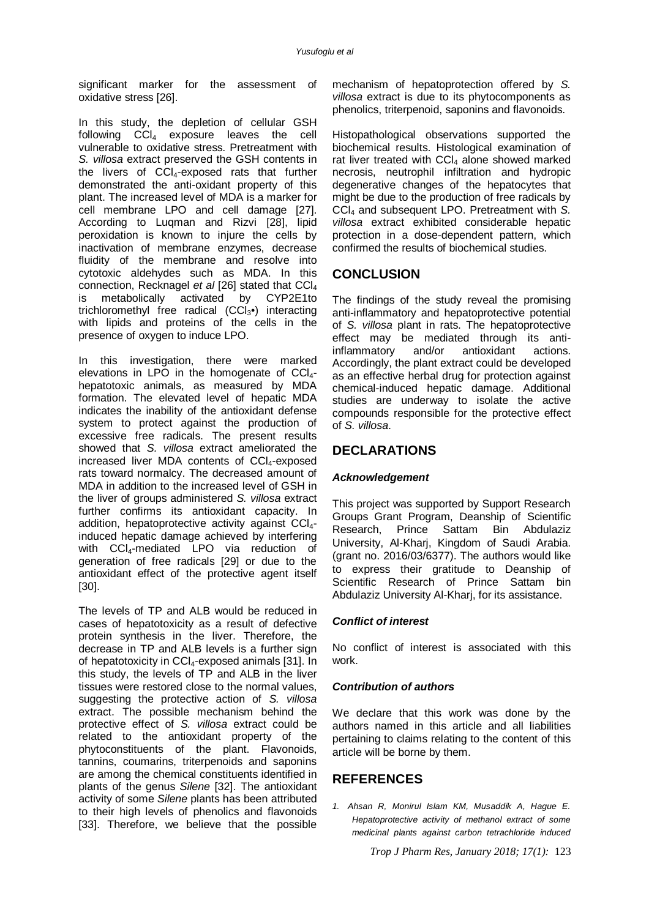significant marker for the assessment of oxidative stress [26].

In this study, the depletion of cellular GSH following CCl<sup>4</sup> exposure leaves the cell vulnerable to oxidative stress. Pretreatment with *S. villosa* extract preserved the GSH contents in the livers of  $|CC|_4$ -exposed rats that further demonstrated the anti-oxidant property of this plant. The increased level of MDA is a marker for cell membrane LPO and cell damage [27]. According to Luqman and Rizvi [28], lipid peroxidation is known to injure the cells by inactivation of membrane enzymes, decrease fluidity of the membrane and resolve into cytotoxic aldehydes such as MDA. In this connection, Recknagel *et al* [26] stated that CCl<sub>4</sub> is metabolically activated by CYP2E1to is metabolically activated by trichloromethyl free radical (CCl<sub>3</sub>•) interacting with lipids and proteins of the cells in the presence of oxygen to induce LPO.

In this investigation, there were marked elevations in LPO in the homogenate of  $CCI<sub>4</sub>$ hepatotoxic animals, as measured by MDA formation. The elevated level of hepatic MDA indicates the inability of the antioxidant defense system to protect against the production of excessive free radicals. The present results showed that *S. villosa* extract ameliorated the increased liver MDA contents of CCI4-exposed rats toward normalcy. The decreased amount of MDA in addition to the increased level of GSH in the liver of groups administered *S. villosa* extract further confirms its antioxidant capacity. In addition, hepatoprotective activity against CCI<sub>4</sub>induced hepatic damage achieved by interfering with CCI<sub>4</sub>-mediated LPO via reduction of generation of free radicals [29] or due to the antioxidant effect of the protective agent itself [30].

The levels of TP and ALB would be reduced in cases of hepatotoxicity as a result of defective protein synthesis in the liver. Therefore, the decrease in TP and ALB levels is a further sign of hepatotoxicity in CCl4-exposed animals [31]. In this study, the levels of TP and ALB in the liver tissues were restored close to the normal values, suggesting the protective action of *S. villosa*  extract. The possible mechanism behind the protective effect of *S. villosa* extract could be related to the antioxidant property of the phytoconstituents of the plant. Flavonoids, tannins, coumarins, triterpenoids and saponins are among the chemical constituents identified in plants of the genus *Silene* [32]. The antioxidant activity of some *Silene* plants has been attributed to their high levels of phenolics and flavonoids [33]. Therefore, we believe that the possible

mechanism of hepatoprotection offered by *S. villosa* extract is due to its phytocomponents as phenolics, triterpenoid, saponins and flavonoids.

Histopathological observations supported the biochemical results. Histological examination of rat liver treated with CCl<sub>4</sub> alone showed marked necrosis, neutrophil infiltration and hydropic degenerative changes of the hepatocytes that might be due to the production of free radicals by CCl<sup>4</sup> and subsequent LPO. Pretreatment with *S. villosa* extract exhibited considerable hepatic protection in a dose-dependent pattern, which confirmed the results of biochemical studies.

### **CONCLUSION**

The findings of the study reveal the promising anti-inflammatory and hepatoprotective potential of *S. villosa* plant in rats. The hepatoprotective effect may be mediated through its anti-<br>inflammatory and/or antioxidant actions. inflammatory and/or antioxidant actions. Accordingly, the plant extract could be developed as an effective herbal drug for protection against chemical-induced hepatic damage. Additional studies are underway to isolate the active compounds responsible for the protective effect of *S. villosa*.

### **DECLARATIONS**

#### *Acknowledgement*

This project was supported by Support Research Groups Grant Program, Deanship of Scientific Research, Prince Sattam Bin Abdulaziz University, Al-Kharj, Kingdom of Saudi Arabia. (grant no. 2016/03/6377). The authors would like to express their gratitude to Deanship of Scientific Research of Prince Sattam bin Abdulaziz University Al-Kharj, for its assistance.

#### *Conflict of interest*

No conflict of interest is associated with this work.

#### *Contribution of authors*

We declare that this work was done by the authors named in this article and all liabilities pertaining to claims relating to the content of this article will be borne by them.

### **REFERENCES**

*1. Ahsan R, Monirul Islam KM, Musaddik A, Hague E. Hepatoprotective activity of methanol extract of some medicinal plants against carbon tetrachloride induced* 

*Trop J Pharm Res, January 2018; 17(1):* 123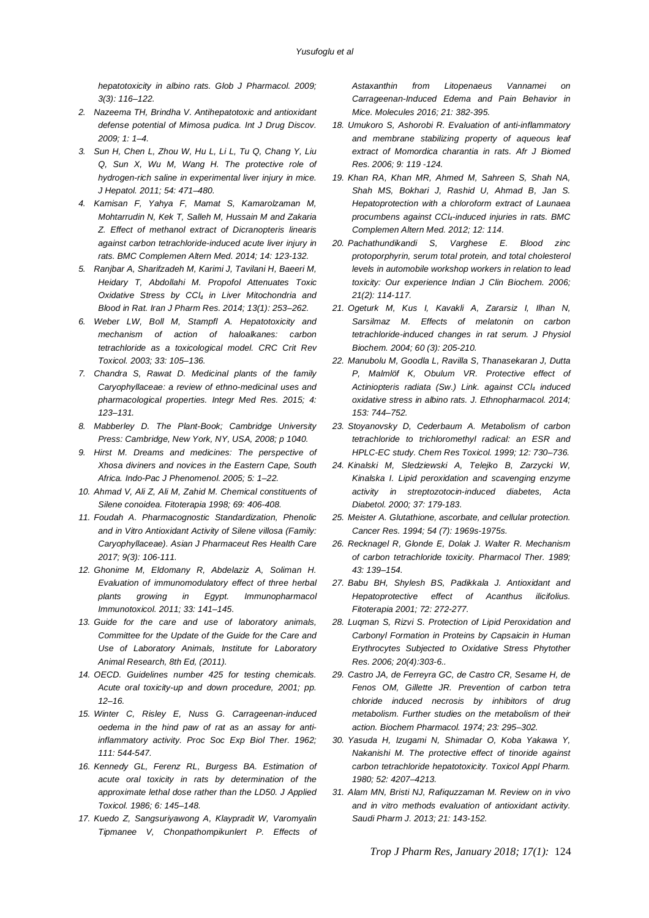*hepatotoxicity in albino rats. Glob J Pharmacol. 2009; 3(3): 116–122.*

- *2. Nazeema TH, Brindha V. Antihepatotoxic and antioxidant defense potential of Mimosa pudica. Int J Drug Discov. 2009; 1: 1–4.*
- *3. Sun H, Chen L, Zhou W, Hu L, Li L, Tu Q, Chang Y, Liu Q, Sun X, Wu M, Wang H. The protective role of hydrogen-rich saline in experimental liver injury in mice. J Hepatol. 2011; 54: 471–480.*
- *4. Kamisan F, Yahya F, Mamat S, Kamarolzaman M, Mohtarrudin N, Kek T, Salleh M, Hussain M and Zakaria Z. Effect of methanol extract of Dicranopteris linearis against carbon tetrachloride-induced acute liver injury in rats. BMC Complemen Altern Med. 2014; 14: 123-132.*
- *5. Ranjbar A, Sharifzadeh M, Karimi J, Tavilani H, Baeeri M, Heidary T, Abdollahi M. Propofol Attenuates Toxic Oxidative Stress by CCl<sup>4</sup> in Liver Mitochondria and Blood in Rat. Iran J Pharm Res. 2014; 13(1): 253–262.*
- *6. Weber LW, Boll M, Stampfl A. Hepatotoxicity and mechanism of action of haloalkanes: carbon tetrachloride as a toxicological model. CRC Crit Rev Toxicol. 2003; 33: 105–136.*
- *7. Chandra S, Rawat D. Medicinal plants of the family Caryophyllaceae: a review of ethno-medicinal uses and pharmacological properties. Integr Med Res. 2015; 4: 123–131.*
- *8. Mabberley D. The Plant-Book; Cambridge University Press: Cambridge, New York, NY, USA, 2008; p 1040.*
- *9. Hirst M. Dreams and medicines: The perspective of Xhosa diviners and novices in the Eastern Cape, South Africa. Indo-Pac J Phenomenol. 2005; 5: 1–22.*
- *10. Ahmad V, Ali Z, Ali M, Zahid M. Chemical constituents of Silene conoidea. Fitoterapia 1998; 69: 406-408.*
- *11. Foudah A. Pharmacognostic Standardization, Phenolic and in Vitro Antioxidant Activity of Silene villosa (Family: Caryophyllaceae). Asian J Pharmaceut Res Health Care 2017; 9(3): 106-111.*
- *12. Ghonime M, Eldomany R, Abdelaziz A, Soliman H. Evaluation of immunomodulatory effect of three herbal plants growing in Egypt. Immunopharmacol Immunotoxicol. 2011; 33: 141–145.*
- *13. Guide for the care and use of laboratory animals, Committee for the Update of the Guide for the Care and Use of Laboratory Animals, Institute for Laboratory Animal Research, 8th Ed, (2011).*
- *14. OECD. Guidelines number 425 for testing chemicals. Acute oral toxicity-up and down procedure, 2001; pp. 12–16.*
- *15. Winter C, Risley E, Nuss G. Carrageenan-induced oedema in the hind paw of rat as an assay for antiinflammatory activity. Proc Soc Exp Biol Ther. 1962; 111: 544-547.*
- *16. Kennedy GL, Ferenz RL, Burgess BA. Estimation of acute oral toxicity in rats by determination of the approximate lethal dose rather than the LD50. J Applied Toxicol. 1986; 6: 145–148.*
- *17. Kuedo Z, Sangsuriyawong A, Klaypradit W, Varomyalin Tipmanee V, Chonpathompikunlert P. Effects of*

*Astaxanthin from Litopenaeus Vannamei on Carrageenan-Induced Edema and Pain Behavior in Mice. Molecules 2016; 21: 382-395.*

- *18. Umukoro S, Ashorobi R. Evaluation of anti-inflammatory and membrane stabilizing property of aqueous leaf extract of Momordica charantia in rats. Afr J Biomed Res. 2006; 9: 119 -124.*
- *19. Khan RA, Khan MR, Ahmed M, Sahreen S, Shah NA, Shah MS, Bokhari J, Rashid U, Ahmad B, Jan S. Hepatoprotection with a chloroform extract of Launaea procumbens against CCl4-induced injuries in rats. BMC Complemen Altern Med. 2012; 12: 114.*
- *20. Pachathundikandi S, Varghese E. Blood zinc protoporphyrin, serum total protein, and total cholesterol levels in automobile workshop workers in relation to lead toxicity: Our experience Indian J Clin Biochem. 2006; 21(2): 114-117.*
- *21. Ogeturk M, Kus I, Kavakli A, Zararsiz I, Ilhan N, Sarsilmaz M. Effects of melatonin on carbon tetrachloride-induced changes in rat serum. J Physiol Biochem. 2004; 60 (3): 205-210.*
- *22. Manubolu M, Goodla L, Ravilla S, Thanasekaran J, Dutta P, Malmlöf K, Obulum VR. Protective effect of Actiniopteris radiata (Sw.) Link. against CCl<sup>4</sup> induced oxidative stress in albino rats. J. Ethnopharmacol. 2014; 153: 744–752.*
- *23. Stoyanovsky D, Cederbaum A. Metabolism of carbon tetrachloride to trichloromethyl radical: an ESR and HPLC-EC study. Chem Res Toxicol. 1999; 12: 730–736.*
- *24. Kinalski M, Sledziewski A, Telejko B, Zarzycki W, Kinalska I. Lipid peroxidation and scavenging enzyme activity in streptozotocin-induced diabetes, Acta Diabetol. 2000; 37: 179-183.*
- *25. Meister A. Glutathione, ascorbate, and cellular protection. Cancer Res. 1994; 54 (7): 1969s-1975s.*
- *26. Recknagel R, Glonde E, Dolak J. Walter R. Mechanism of carbon tetrachloride toxicity. Pharmacol Ther. 1989; 43: 139–154.*
- *27. Babu BH, Shylesh BS, Padikkala J. Antioxidant and Hepatoprotective effect of Acanthus ilicifolius. Fitoterapia 2001; 72: 272-277.*
- *28. Luqman S, Rizvi S. Protection of Lipid Peroxidation and Carbonyl Formation in Proteins by Capsaicin in Human Erythrocytes Subjected to Oxidative Stress Phytother Res. 2006; 20(4):303-6..*
- *29. Castro JA, de Ferreyra GC, de Castro CR, Sesame H, de Fenos OM, Gillette JR. Prevention of carbon tetra chloride induced necrosis by inhibitors of drug metabolism. Further studies on the metabolism of their action. Biochem Pharmacol. 1974; 23: 295–302.*
- *30. Yasuda H, Izugami N, Shimadar O, Koba Yakawa Y, Nakanishi M. The protective effect of tinoride against carbon tetrachloride hepatotoxicity. Toxicol Appl Pharm. 1980; 52: 4207–4213.*
- *31. Alam MN, Bristi NJ, Rafiquzzaman M. Review on in vivo and in vitro methods evaluation of antioxidant activity. Saudi Pharm J. 2013; 21: 143-152.*